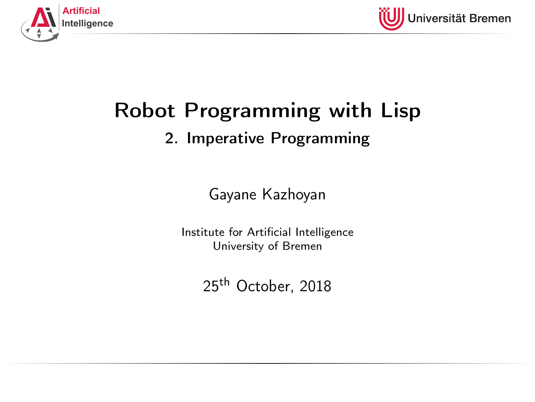<span id="page-0-0"></span>



# Robot Programming with Lisp

## 2. Imperative Programming

Gayane Kazhoyan

Institute for Artificial Intelligence University of Bremen

25<sup>th</sup> October, 2018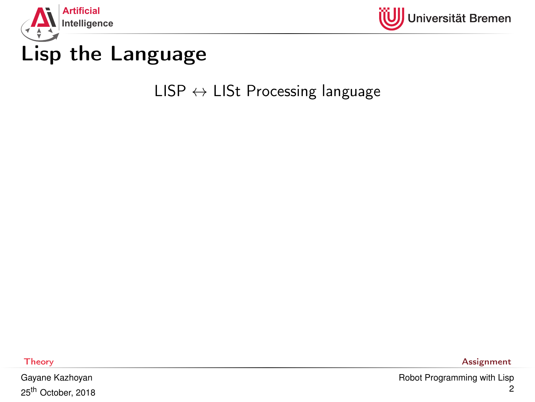<span id="page-1-0"></span>



## Lisp the Language

 $LISP \leftrightarrow LIST$  Processing language

Gayane Kazhoyan 25<sup>th</sup> October, 2018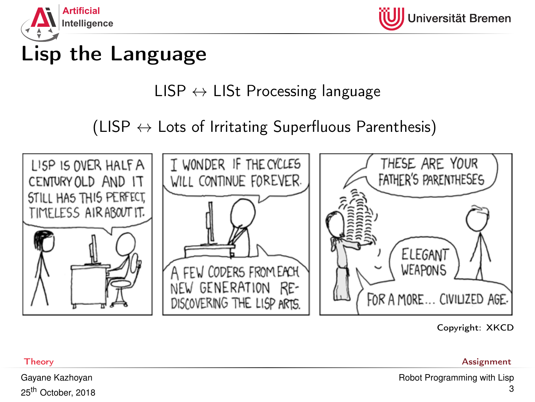

## Lisp the Language

## $LISP \leftrightarrow LISt$  Processing language

(LISP  $\leftrightarrow$  Lots of Irritating Superfluous Parenthesis)



Copyright: XKCD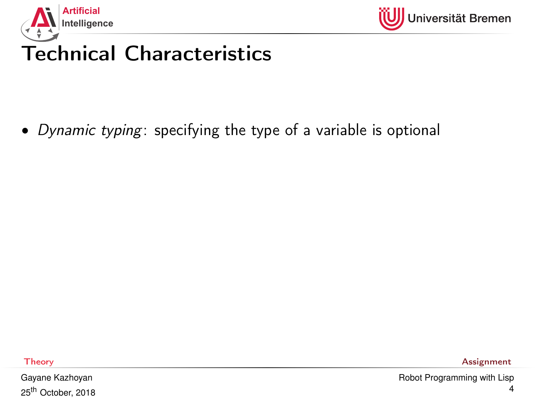



# Technical Characteristics

• Dynamic typing: specifying the type of a variable is optional

Gayane Kazhoyan 25<sup>th</sup> October, 2018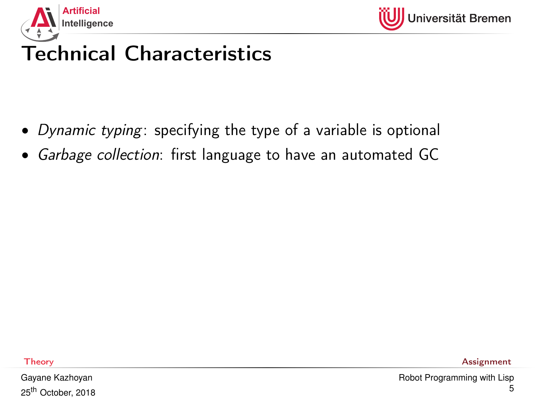



# Technical Characteristics

- Dynamic typing: specifying the type of a variable is optional
- Garbage collection: first language to have an automated GC

Gayane Kazhoyan 25<sup>th</sup> October, 2018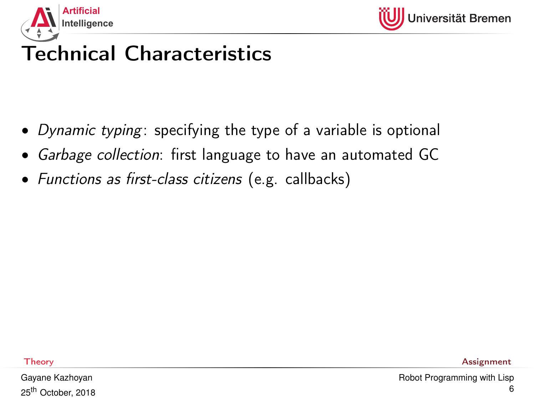

# Technical Characteristics

- Dynamic typing: specifying the type of a variable is optional
- Garbage collection: first language to have an automated GC
- Functions as first-class citizens (e.g. callbacks)

Gayane Kazhoyan 25<sup>th</sup> October, 2018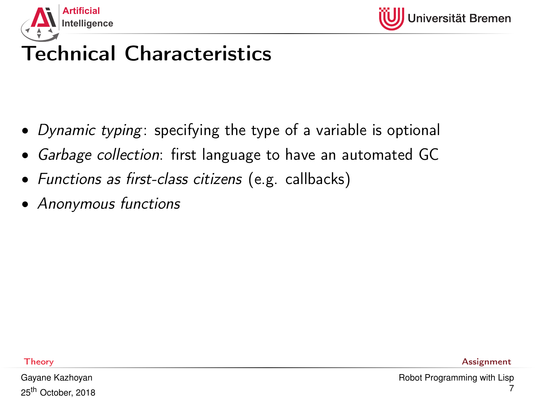

# Technical Characteristics

- Dynamic typing: specifying the type of a variable is optional
- Garbage collection: first language to have an automated GC
- Functions as first-class citizens (e.g. callbacks)
- Anonymous functions

Gayane Kazhoyan 25<sup>th</sup> October, 2018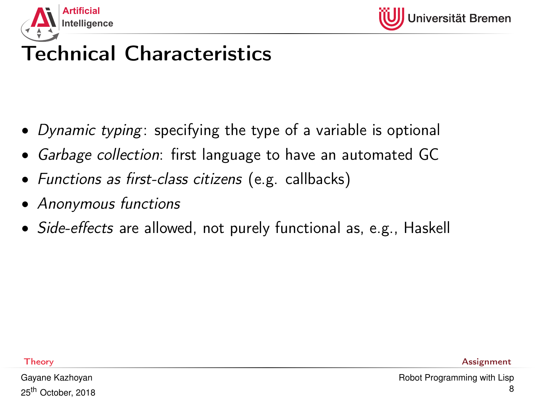

# Technical Characteristics

- Dynamic typing: specifying the type of a variable is optional
- Garbage collection: first language to have an automated GC
- Functions as first-class citizens (e.g. callbacks)
- Anonymous functions
- *Side-effects* are allowed, not purely functional as, e.g., Haskell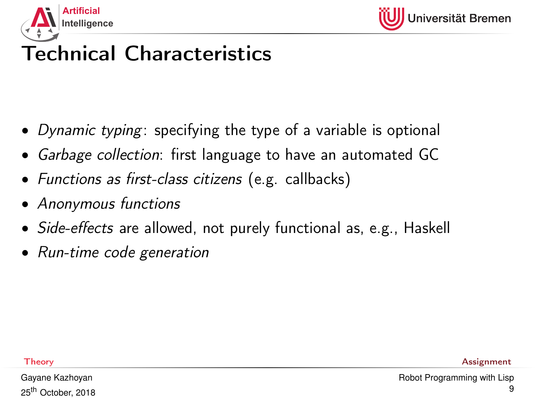

# Technical Characteristics

- Dynamic typing: specifying the type of a variable is optional
- Garbage collection: first language to have an automated GC
- Functions as first-class citizens (e.g. callbacks)
- Anonymous functions
- *Side-effects* are allowed, not purely functional as, e.g., Haskell
- Run-time code generation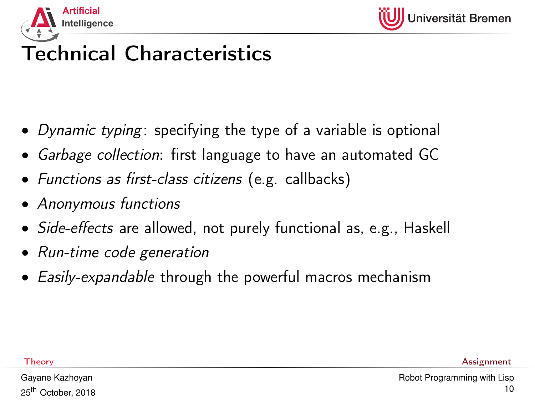

# Technical Characteristics

- Dynamic typing: specifying the type of a variable is optional
- Garbage collection: first language to have an automated GC
- Functions as first-class citizens (e.g. callbacks)
- Anonymous functions
- Side-effects are allowed, not purely functional as, e.g., Haskell
- Run-time code generation
- Easily-expandable through the powerful macros mechanism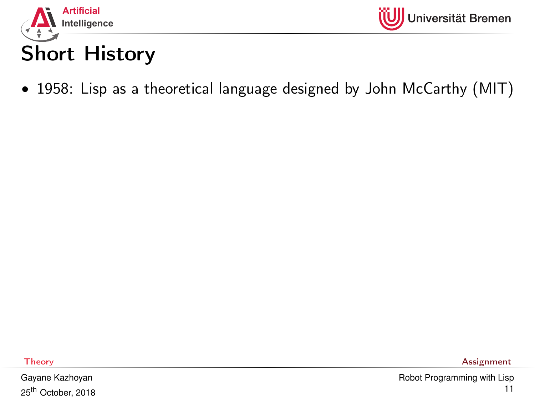



### • 1958: Lisp as a theoretical language designed by John McCarthy (MIT)

Gayane Kazhoyan 25<sup>th</sup> October, 2018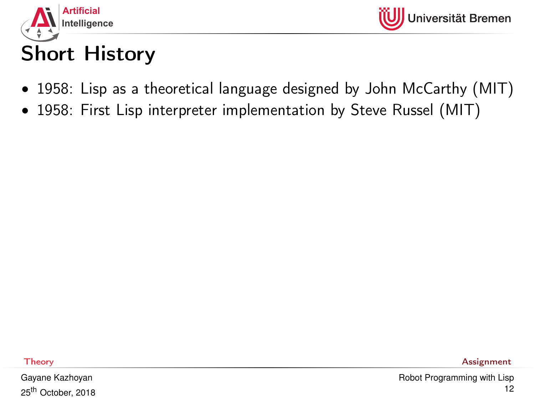

# Short History

- 1958: Lisp as a theoretical language designed by John McCarthy (MIT)
- 1958: First Lisp interpreter implementation by Steve Russel (MIT)

Gayane Kazhoyan 25<sup>th</sup> October, 2018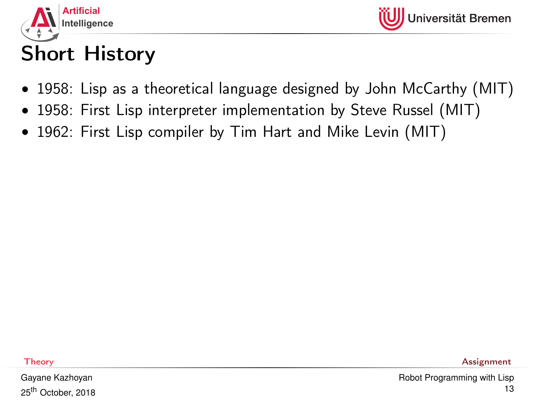

# Short History

- 1958: Lisp as a theoretical language designed by John McCarthy (MIT)
- 1958: First Lisp interpreter implementation by Steve Russel (MIT)
- 1962: First Lisp compiler by Tim Hart and Mike Levin (MIT)

Gayane Kazhoyan 25<sup>th</sup> October, 2018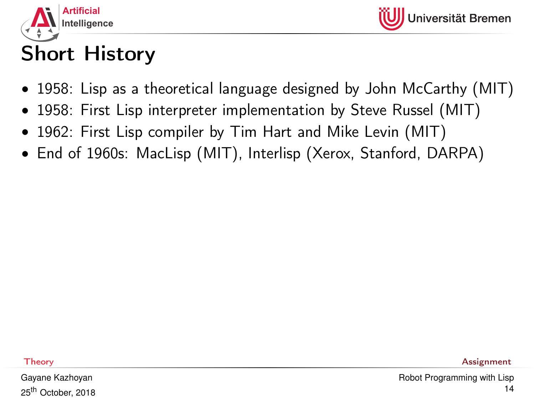



# Short History

- 1958: Lisp as a theoretical language designed by John McCarthy (MIT)
- 1958: First Lisp interpreter implementation by Steve Russel (MIT)
- 1962: First Lisp compiler by Tim Hart and Mike Levin (MIT)
- End of 1960s: MacLisp (MIT), Interlisp (Xerox, Stanford, DARPA)

Gayane Kazhoyan 25<sup>th</sup> October, 2018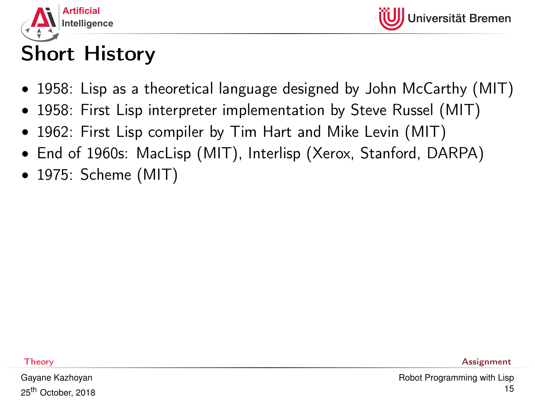

# Short History

- 1958: Lisp as a theoretical language designed by John McCarthy (MIT)
- 1958: First Lisp interpreter implementation by Steve Russel (MIT)
- 1962: First Lisp compiler by Tim Hart and Mike Levin (MIT)
- End of 1960s: MacLisp (MIT), Interlisp (Xerox, Stanford, DARPA)
- 1975: Scheme (MIT)

Gayane Kazhoyan 25<sup>th</sup> October, 2018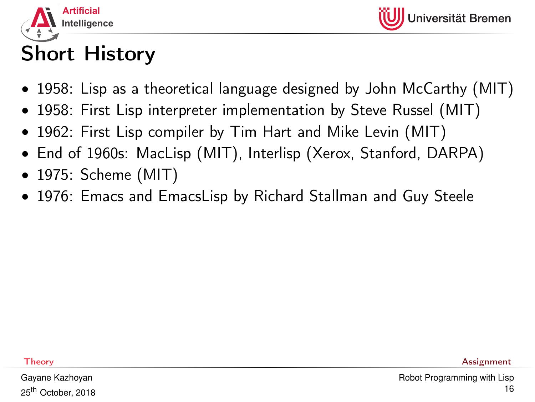

# Short History

- 1958: Lisp as a theoretical language designed by John McCarthy (MIT)
- 1958: First Lisp interpreter implementation by Steve Russel (MIT)
- 1962: First Lisp compiler by Tim Hart and Mike Levin (MIT)
- End of 1960s: MacLisp (MIT), Interlisp (Xerox, Stanford, DARPA)
- 1975: Scheme (MIT)
- 1976: Emacs and EmacsLisp by Richard Stallman and Guy Steele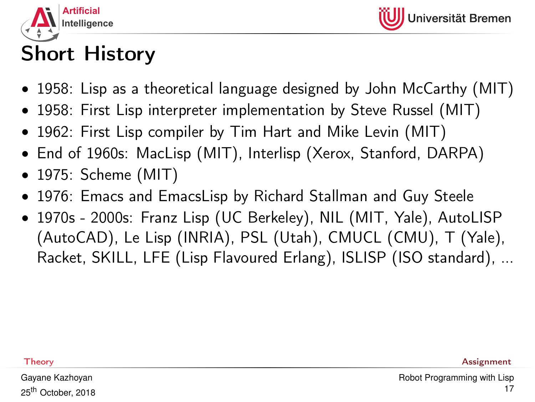

# Short History

- 1958: Lisp as a theoretical language designed by John McCarthy (MIT)
- 1958: First Lisp interpreter implementation by Steve Russel (MIT)
- 1962: First Lisp compiler by Tim Hart and Mike Levin (MIT)
- End of 1960s: MacLisp (MIT), Interlisp (Xerox, Stanford, DARPA)
- 1975: Scheme (MIT)
- 1976: Emacs and EmacsLisp by Richard Stallman and Guy Steele
- 1970s 2000s: Franz Lisp (UC Berkeley), NIL (MIT, Yale), AutoLISP (AutoCAD), Le Lisp (INRIA), PSL (Utah), CMUCL (CMU), T (Yale), Racket, SKILL, LFE (Lisp Flavoured Erlang), ISLISP (ISO standard), ...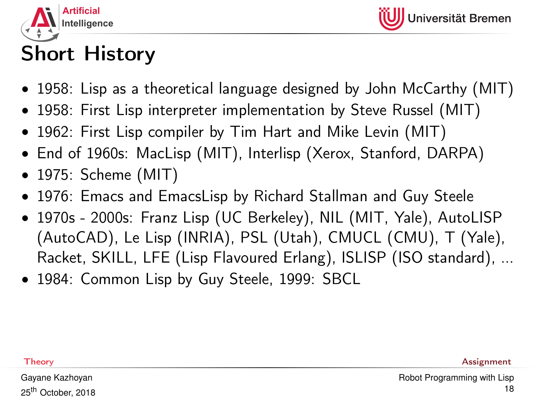

# Short History

- 1958: Lisp as a theoretical language designed by John McCarthy (MIT)
- 1958: First Lisp interpreter implementation by Steve Russel (MIT)
- 1962: First Lisp compiler by Tim Hart and Mike Levin (MIT)
- End of 1960s: MacLisp (MIT), Interlisp (Xerox, Stanford, DARPA)
- 1975: Scheme (MIT)
- 1976: Emacs and EmacsLisp by Richard Stallman and Guy Steele
- 1970s 2000s: Franz Lisp (UC Berkeley), NIL (MIT, Yale), AutoLISP (AutoCAD), Le Lisp (INRIA), PSL (Utah), CMUCL (CMU), T (Yale), Racket, SKILL, LFE (Lisp Flavoured Erlang), ISLISP (ISO standard), ...
- 1984: Common Lisp by Guy Steele, 1999: SBCL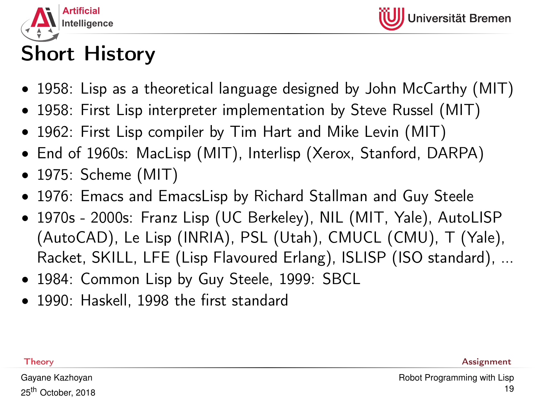

# Short History

- 1958: Lisp as a theoretical language designed by John McCarthy (MIT)
- 1958: First Lisp interpreter implementation by Steve Russel (MIT)
- 1962: First Lisp compiler by Tim Hart and Mike Levin (MIT)
- End of 1960s: MacLisp (MIT), Interlisp (Xerox, Stanford, DARPA)
- 1975: Scheme (MIT)
- 1976: Emacs and EmacsLisp by Richard Stallman and Guy Steele
- 1970s 2000s: Franz Lisp (UC Berkeley), NIL (MIT, Yale), AutoLISP (AutoCAD), Le Lisp (INRIA), PSL (Utah), CMUCL (CMU), T (Yale), Racket, SKILL, LFE (Lisp Flavoured Erlang), ISLISP (ISO standard), ...
- 1984: Common Lisp by Guy Steele, 1999: SBCL
- 1990: Haskell, 1998 the first standard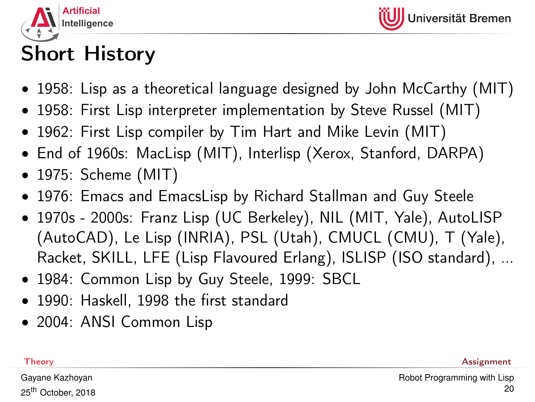

# Short History

- 1958: Lisp as a theoretical language designed by John McCarthy (MIT)
- 1958: First Lisp interpreter implementation by Steve Russel (MIT)
- 1962: First Lisp compiler by Tim Hart and Mike Levin (MIT)
- End of 1960s: MacLisp (MIT), Interlisp (Xerox, Stanford, DARPA)
- 1975: Scheme (MIT)
- 1976: Emacs and EmacsLisp by Richard Stallman and Guy Steele
- 1970s 2000s: Franz Lisp (UC Berkeley), NIL (MIT, Yale), AutoLISP (AutoCAD), Le Lisp (INRIA), PSL (Utah), CMUCL (CMU), T (Yale), Racket, SKILL, LFE (Lisp Flavoured Erlang), ISLISP (ISO standard), ...
- 1984: Common Lisp by Guy Steele, 1999: SBCL
- 1990: Haskell, 1998 the first standard
- 2004: ANSI Common Lisp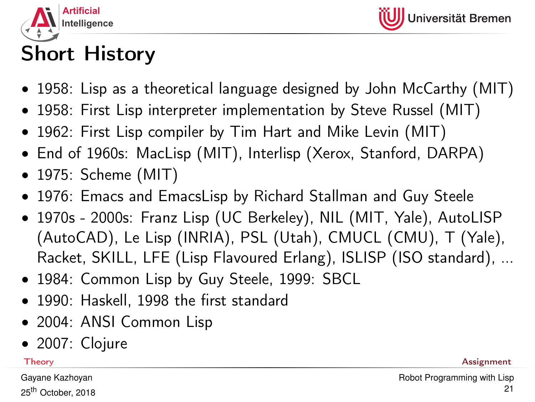

# Short History

- 1958: Lisp as a theoretical language designed by John McCarthy (MIT)
- 1958: First Lisp interpreter implementation by Steve Russel (MIT)
- 1962: First Lisp compiler by Tim Hart and Mike Levin (MIT)
- End of 1960s: MacLisp (MIT), Interlisp (Xerox, Stanford, DARPA)
- 1975: Scheme (MIT)
- 1976: Emacs and EmacsLisp by Richard Stallman and Guy Steele
- 1970s 2000s: Franz Lisp (UC Berkeley), NIL (MIT, Yale), AutoLISP (AutoCAD), Le Lisp (INRIA), PSL (Utah), CMUCL (CMU), T (Yale), Racket, SKILL, LFE (Lisp Flavoured Erlang), ISLISP (ISO standard), ...
- 1984: Common Lisp by Guy Steele, 1999: SBCL
- 1990: Haskell, 1998 the first standard
- 2004: ANSI Common Lisp
- 2007: Clojure

Gayane Kazhoyan 25<sup>th</sup> October, 2018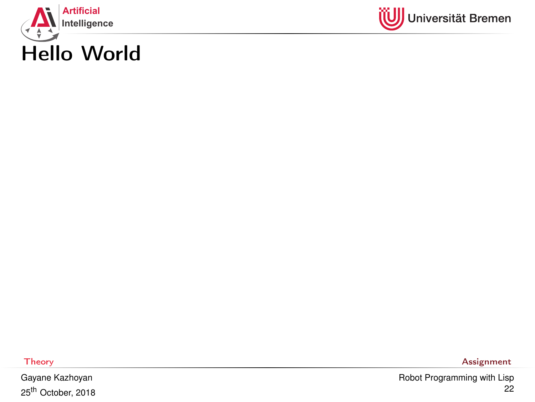



Gayane Kazhoyan 25th October, 2018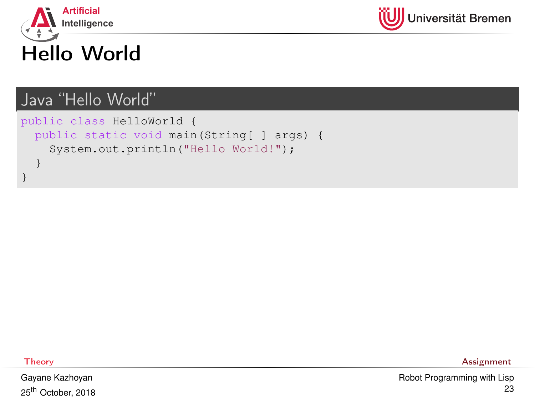



### Java "Hello World"

```
public class HelloWorld {
 public static void main(String[ ] args) {
    System.out.println("Hello World!");
  }
```
}

Gayane Kazhoyan 25<sup>th</sup> October, 2018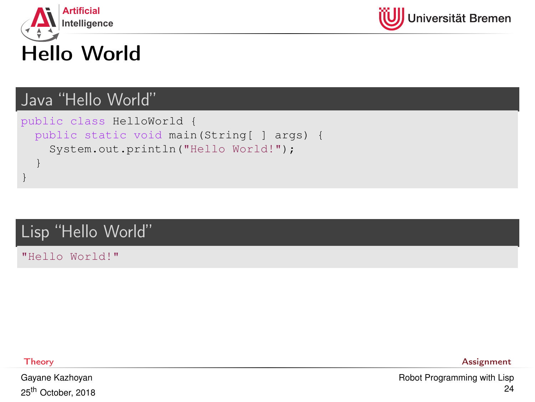



### Java "Hello World"

```
public class HelloWorld {
 public static void main(String[ ] args) {
    System.out.println("Hello World!");
  }
}
```
#### Lisp "Hello World"

"Hello World!"

Gayane Kazhoyan 25<sup>th</sup> October, 2018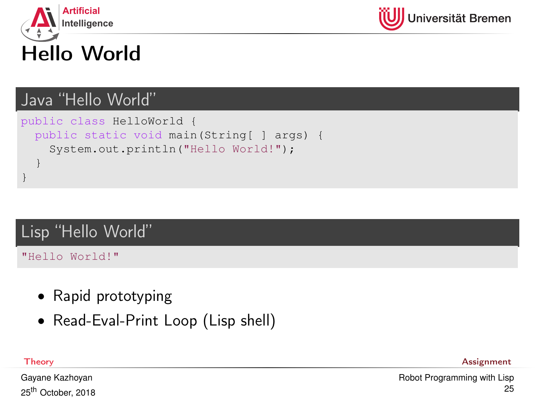



#### Java "Hello World"

```
public class HelloWorld {
 public static void main(String[ ] args) {
    System.out.println("Hello World!");
  }
}
```
#### Lisp "Hello World"

"Hello World!"

- Rapid prototyping
- Read-Eval-Print Loop (Lisp shell)

[Theory](#page-1-0) [Assignment](#page-59-0)

Gayane Kazhoyan 25<sup>th</sup> October, 2018 [Robot Programming with Lisp](#page-0-0) 25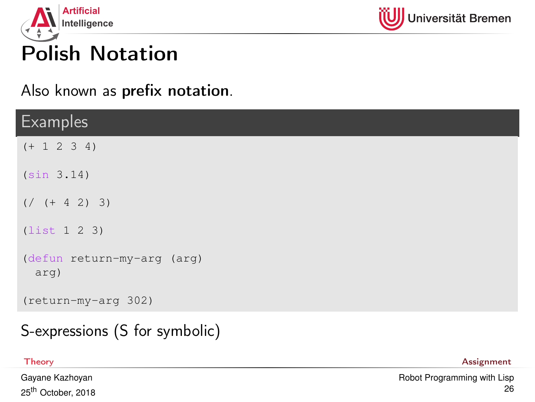

## Also known as prefix notation.

| <b>Examples</b>                    |
|------------------------------------|
| $(+ 1 2 3 4)$                      |
| (sin 3.14)                         |
| $( /$ $( + 4 2) 3)$                |
| (list 1 2 3)                       |
| (defun return-my-arg (arg)<br>arg) |
| (return-my-arg 302)                |

### S-expressions (S for symbolic)

Gayane Kazhoyan 25<sup>th</sup> October, 2018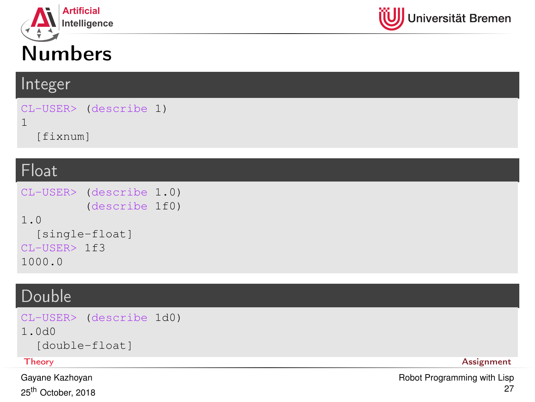



#### Integer

```
CL-USER> (describe 1)
1
  [fixnum]
```
#### Float

```
CL-USER> (describe 1.0)
          (describe 1f0)
1.0
  [single-float]
CL-USER> 1f3
1000.0
```
#### Double

```
CL-USER> (describe 1d0)
1.0d0
 [double-float]
Theory Assignment
```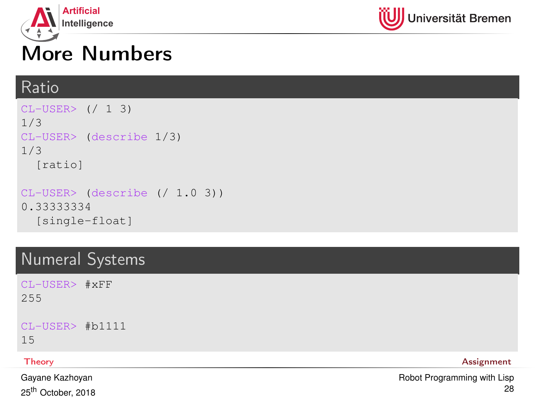



## More Numbers

#### Ratio

```
CI-USER> (/ 1 3)
1/3
CL-USER> (describe 1/3)
1/3
  [ratio]
CL-USER> (describe (/ 1.0 3))
0.33333334
```

```
[single-float]
```
## Numeral Systems

CL-USER> #xFF 255

CL-USER> #b1111

15

Gayane Kazhoyan 25<sup>th</sup> October, 2018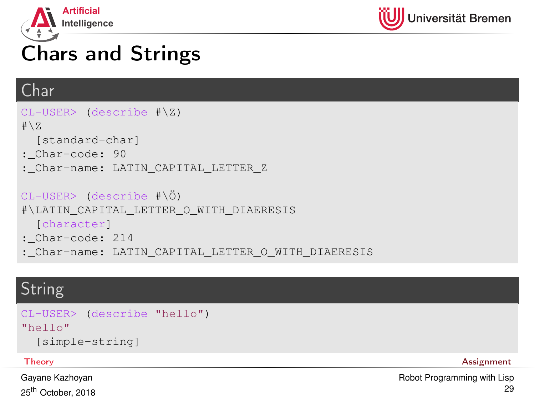



# Chars and Strings

### Char

```
CL-USER> (describe #\Z)
# \setminus Z[standard-char]
: Char-code: 90
:_Char-name: LATIN_CAPITAL_LETTER_Z
CL-USER> (describe #\Ö)
#\LATIN_CAPITAL_LETTER_O_WITH_DIAERESIS
  [character]
:_Char-code: 214
:_Char-name: LATIN_CAPITAL_LETTER_O_WITH_DIAERESIS
```
### String

```
CL-USER> (describe "hello")
"hello"
  [simple-string]
```
Gayane Kazhoyan 25<sup>th</sup> October, 2018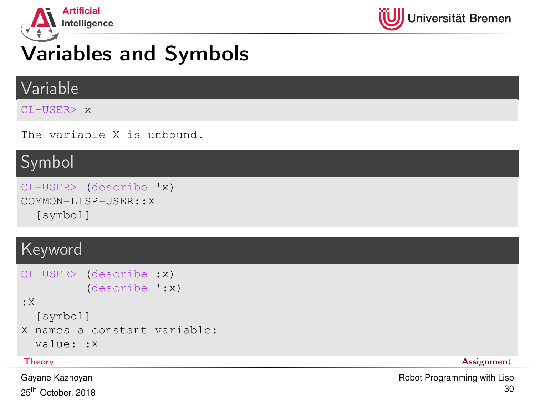

# Variables and Symbols

#### Variable

CL-USER> x

The variable X is unbound.

## Symbol

```
CL-USER> (describe 'x)
COMMON-LISP-USER::X
  [symbol]
```
### Keyword

```
CL-USER> (describe :x)
         (describe ':x)
:X
  [symbol]
X names a constant variable:
  Value: :X
```
Gayane Kazhoyan 25<sup>th</sup> October, 2018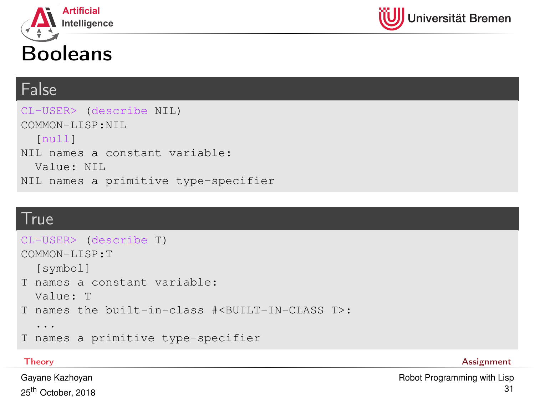





#### False

CL-USER> (describe NIL) COMMON-LISP:NIL [null] NIL names a constant variable: Value: NIL NIL names a primitive type-specifier

#### **True**

```
CL-USER> (describe T)
COMMON-LISP:T
  [symbol]
T names a constant variable:
 Value: T
T names the built-in-class #<BUILT-IN-CLASS T>:
  ...
T names a primitive type-specifier
```
[Theory](#page-1-0) [Assignment](#page-59-0)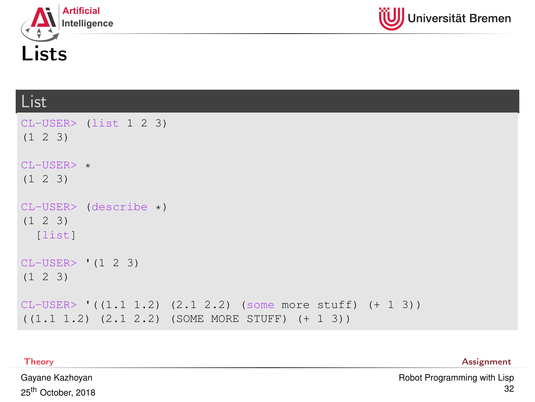



## List

| $CL-USER>$ (list 1 2 3)<br>$(1 \t2 \t3)$                                                                        |
|-----------------------------------------------------------------------------------------------------------------|
| $CL-USER>$ *<br>$(1 \t2 \t3)$                                                                                   |
| $CL-USER > (describe \star)$<br>$(1 \t2 \t3)$<br>[list]                                                         |
| $CL-USER > (1 2 3)$<br>$(1 \t2 \t3)$                                                                            |
| $CL-USER>$ ((1.1 1.2) (2.1 2.2) (some more stuff) (+ 1 3))<br>$((1.1 1.2) (2.1 2.2) (SOME MORE STUFF) (+ 1 3))$ |

[Theory](#page-1-0) [Assignment](#page-59-0)

Gayane Kazhoyan 25th October, 2018 [Robot Programming with Lisp](#page-0-0) 32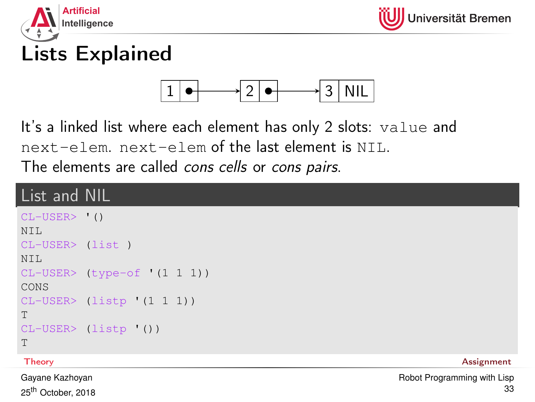



# Lists Explained



It's a linked list where each element has only 2 slots: value and next-elem. next-elem of the last element is NIL. The elements are called *cons cells* or *cons pairs*.

### List and NIL

```
CL-USER> '()
NTT.
CL-USER> (list )
NTT.
CL-USER> (type-of '(1 1 1))
CONS
CL-USER> (listp '(1 1 1))
T
CL-USER> (listp '())
T
```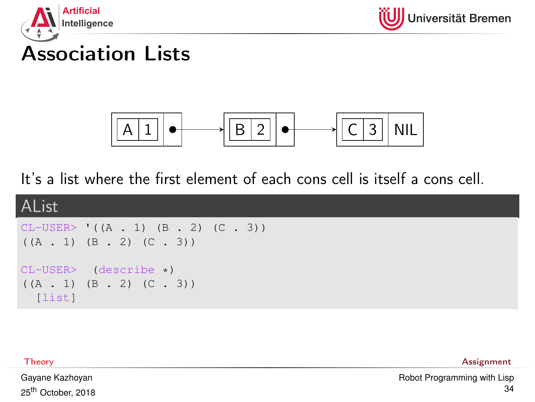



## Association Lists



It's a list where the first element of each cons cell is itself a cons cell.



[Theory](#page-1-0) [Assignment](#page-59-0)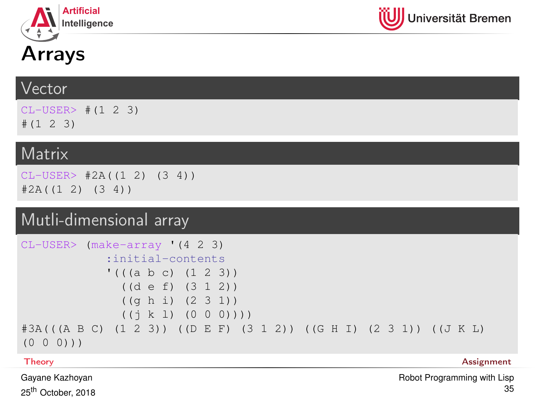



## Arrays

#### Vector

 $CI - USER> # (1 2 3)$  $# (1 2 3)$ 

#### Matrix

 $CL-USER> #2A((1 2) (3 4))$  $#2A((1 2) (3 4))$ 

### Mutli-dimensional array

```
CL-USER> (make-array '(4 2 3)
            :initial-contents
            '((a b c) (1 2 3))((d e f) (3 1 2))
              ((g h i) (2 3 1))
              ((j k l) (0 0 0))))
#3A(((A B C) (1 2 3)) ((D E F) (3 1 2)) ((G H I) (2 3 1)) ((J K L)
(0 0 0)))
```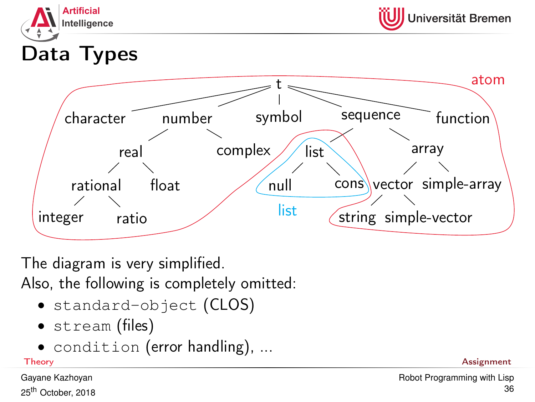



Data Types



The diagram is very simplified. Also, the following is completely omitted:

- standard-object (CLOS)
- stream (files)
- condition (error handling), ...

Gayane Kazhoyan 25<sup>th</sup> October, 2018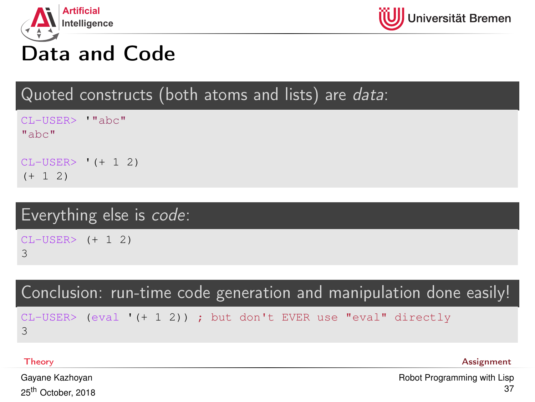



## Data and Code

Quoted constructs (both atoms and lists) are data:

CL-USER> '"abc"  $^{\text{II}}$ abc $^{\text{II}}$ 

CL-USER> '(+ 1 2)  $(+ 1 2)$ 

## Everything else is code:

CL-USER> (+ 1 2) 3

Conclusion: run-time code generation and manipulation done easily!

CL-USER> (eval '(+ 1 2)) ; but don't EVER use "eval" directly 3

[Theory](#page-1-0) [Assignment](#page-59-0)

Gayane Kazhoyan 25<sup>th</sup> October, 2018 [Robot Programming with Lisp](#page-0-0) 37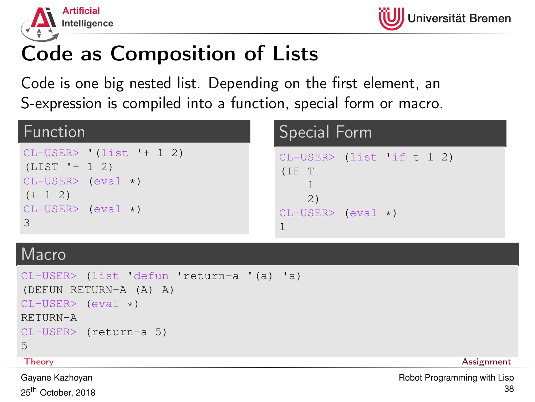



# Code as Composition of Lists

Code is one big nested list. Depending on the first element, an S-expression is compiled into a function, special form or macro.

| Function                                                                                                                  | Special Form                                                           |  |  |
|---------------------------------------------------------------------------------------------------------------------------|------------------------------------------------------------------------|--|--|
| $CL-USER>$ (list '+ 1 2)<br>$(LIST ' + 1 2)$<br>$CL-USER>$ (eval $\star$ )<br>$(+ 1 2)$<br>$CL-USER$ (eval $\star$ )<br>3 | $CL-USER$ (list if t 1 2)<br>(IF T<br>2)<br>$CL-USER>$ (eval $\star$ ) |  |  |

#### Macro

```
CL-USER> (list 'defun 'return-a '(a) 'a)
(DEFUN RETURN-A (A) A)
CI-USTR > (eval *)RETURN-A
CL-USER> (return-a 5)
5
```
Gayane Kazhoyan 25<sup>th</sup> October, 2018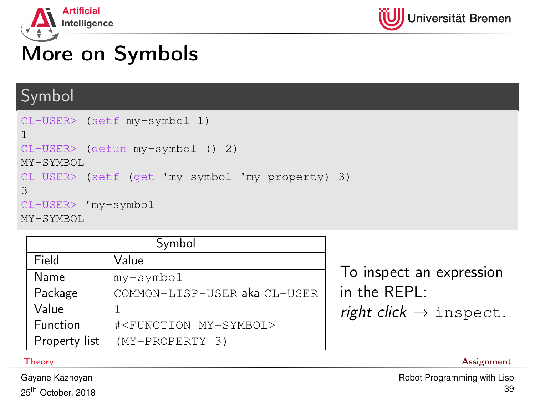



# More on Symbols

## Symbol

```
CL-USER> (setf my-symbol 1)
1
CL-USER> (defun my-symbol () 2)
MY-SYMBOL
CL-USER> (setf (get 'my-symbol 'my-property) 3)
3
CL-USER> 'my-symbol
MY-SYMBOL
```

| Symbol        |                                      |  |  |  |  |  |
|---------------|--------------------------------------|--|--|--|--|--|
| Field         | Value                                |  |  |  |  |  |
| Name          | my-symbol                            |  |  |  |  |  |
| Package       | COMMON-LISP-USER aka CL-USER         |  |  |  |  |  |
| Value         |                                      |  |  |  |  |  |
| Function      | # <function my-symbol=""></function> |  |  |  |  |  |
| Property list | (MY-PROPERTY 3)                      |  |  |  |  |  |

To inspect an expression in the REPL: right click  $\rightarrow$  inspect.

[Theory](#page-1-0) [Assignment](#page-59-0)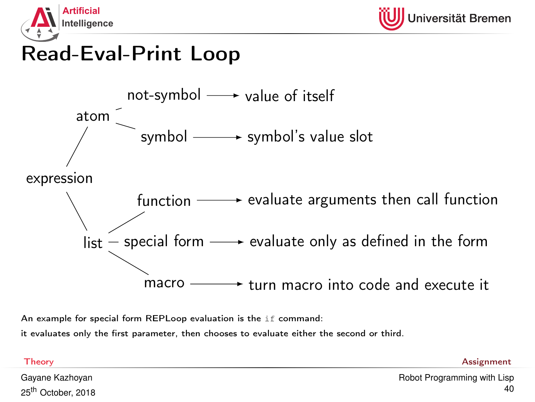

## Read-Eval-Print Loop



An example for special form REPLoop evaluation is the if command:

it evaluates only the first parameter, then chooses to evaluate either the second or third.

[Theory](#page-1-0) [Assignment](#page-59-0)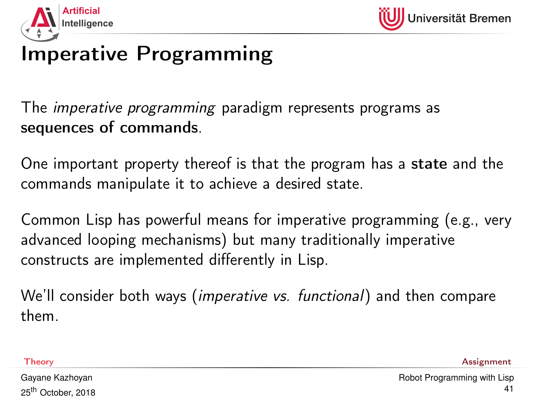

# Imperative Programming

The imperative programming paradigm represents programs as sequences of commands.

One important property thereof is that the program has a state and the commands manipulate it to achieve a desired state.

Common Lisp has powerful means for imperative programming (e.g., very advanced looping mechanisms) but many traditionally imperative constructs are implemented differently in Lisp.

We'll consider both ways (*imperative vs. functional*) and then compare them.

[Theory](#page-1-0) [Assignment](#page-59-0)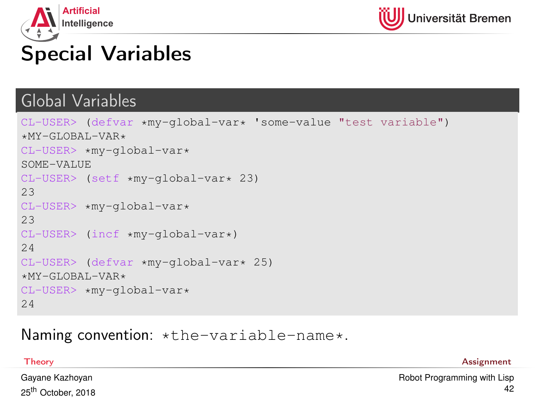



# Special Variables

#### Global Variables

```
CL-USER> (defvar *my-global-var* 'some-value "test variable")
*MY-GLOBAL-VAR*CL-USER> *my-global-var*
SOME-VALUE
CL-USER> (setf *my-global-var* 23)
23
CI-USER \starmv-global-var\star23
CL-USER> (incf *my-global-var*)
24
CL-USER> (defvar *my-global-var* 25)
*MY - GT. ORAT. -VAR*CL-USER> *my-global-var*
24
```
#### Naming convention: \*the-variable-name\*.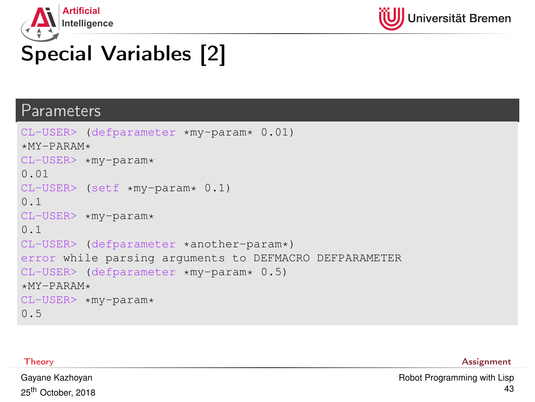



# Special Variables [2]

#### Parameters

```
CL-USER> (defparameter *my-param* 0.01)
*MY-PARAM*CL-USER> *my-param*
0.01
CL-USER> (setf *my-param* 0.1)
0.1
CL-USER> *my-param*
0.1
CL-USER> (defparameter *another-param*)
error while parsing arguments to DEFMACRO DEFPARAMETER
CL-USER> (defparameter *my-param* 0.5)
*MY-PARAM*CL-USER> *my-param*
0.5
```
[Theory](#page-1-0) [Assignment](#page-59-0)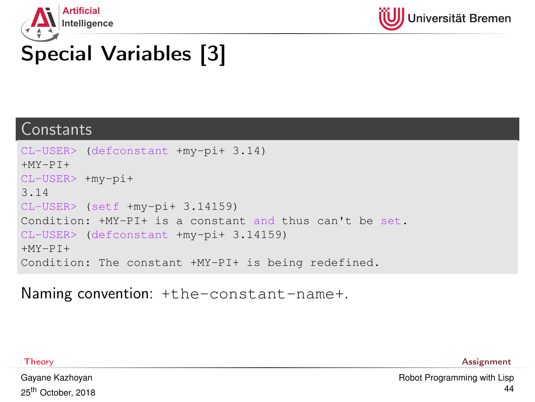



# Special Variables [3]

#### Constants

```
CL-USER> (defconstant +my-pi+ 3.14)
+MY-PT+CL-USER> +my-pi+
3.14
CL-USER> (setf +my-pi+ 3.14159)
Condition: +MY-PI+ is a constant and thus can't be set.
CL-USER> (defconstant +my-pi+ 3.14159)
+MY-PT+Condition: The constant +MY-PI+ is being redefined.
```
Naming convention: +the-constant-name+.

[Theory](#page-1-0) [Assignment](#page-59-0)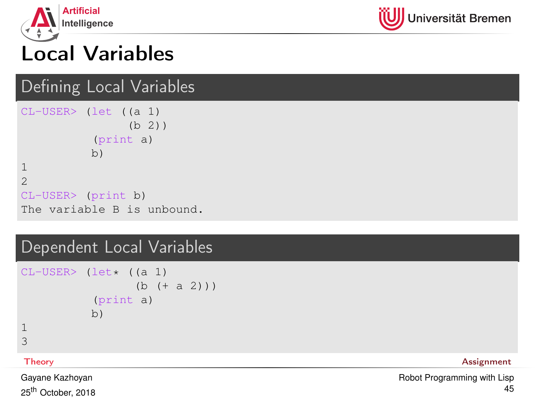



# Local Variables

#### Defining Local Variables

```
CL-USER> (let ((a 1)
                (b 2))
          (print a)
          b)
1
2
CL-USER> (print b)
The variable B is unbound.
```
#### Dependent Local Variables

```
CL-USER > (let \star (a 1))(b + a 2))(print a)
           b)
1
3
```
[Theory](#page-1-0) [Assignment](#page-59-0)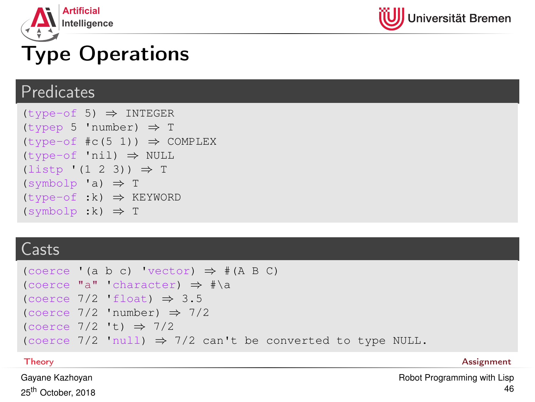



# Type Operations

#### **Predicates**

```
(type-of 5) ⇒ INTEGER
(typep 5 'number) ⇒ T
(type-of \#c(5 1)) \Rightarrow COMPLEX(type-of 'nil) ⇒ NULL
(listp ' (1 2 3)) \Rightarrow T(symbolp 'a) \Rightarrow T(type-of :k) \Rightarrow KEYWORD(symbolp :k) \Rightarrow T
```
#### Casts

```
(\text{coerce } (a \ b \ c) \text{ 'vector)} \Rightarrow \# (A \ B \ C)(coerce "a" 'character) ⇒ #\a
(coerce 7/2 'float) \Rightarrow 3.5
(coerce 7/2 'number) \Rightarrow 7/2(coerce 7/2 't) \Rightarrow 7/2(coerce 7/2 'null) \Rightarrow 7/2 can't be converted to type NULL.
```
[Theory](#page-1-0) [Assignment](#page-59-0)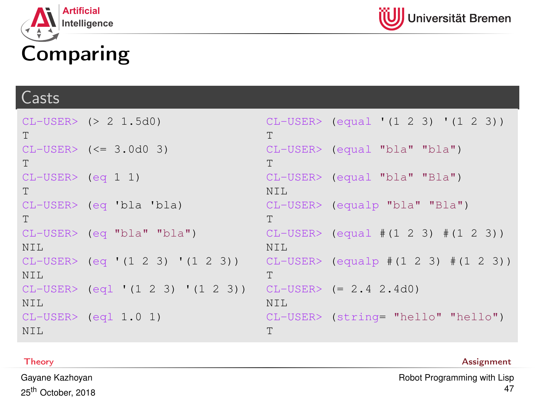



#### Casts

```
CL-USER> (> 2 1.5d0)
T
CL-USER> (<= 3.0d0 3)
T
CL-USER> (eq 1 1)
T
CL-USER> (eq 'bla 'bla)
T
CL-USER> (eq "bla" "bla")
NTT.
CL-USER> (eq '(1 2 3) '(1 2 3))
NTL
CL-USER> (eql '(1 2 3) '(1 2 3))
CL-USER> (= 2.4 2.4d0)
NTT.
CL-USER> (eql 1.0 1)
NTT.
                                    CL-USER> (equal '(1 2 3) '(1 2 3))
                                    T
                                    CL-USER> (equal "bla" "bla")
                                    T
                                    CL-USER> (equal "bla" "Bla")
                                    NTT.
                                    CL-USER> (equalp "bla" "Bla")
                                    T
                                    CL-USER> (equal #(1 2 3) #(1 2 3))
                                    NTT.
                                    CL-USER> (equalp #(1 2 3) #(1 2 3))
                                    T
                                    NTT.
                                    CL-USER> (string= "hello" "hello")
                                    T
```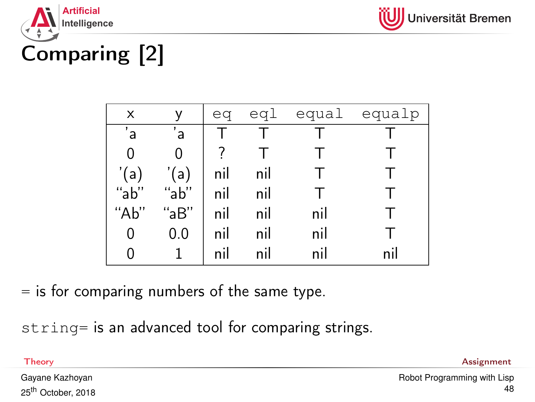



Comparing [2]

| X              | ٧               |     |     |     | eq eql equal equalp |
|----------------|-----------------|-----|-----|-----|---------------------|
| $\overline{a}$ | 'a              |     |     |     |                     |
| 0              |                 |     |     |     |                     |
| '(a)           | '(a)            | nil | nil |     |                     |
| "ab"           | " $ab"$         | nil | nil |     |                     |
| "Ab"           | "aB"            | nil | nil | nil |                     |
| 0              | 0.0             | nil | nil | nil |                     |
| 0              | $\vert 1 \vert$ | nil | nil | nil | nil                 |
|                |                 |     |     |     |                     |

 $=$  is for comparing numbers of the same type.

string= is an advanced tool for comparing strings.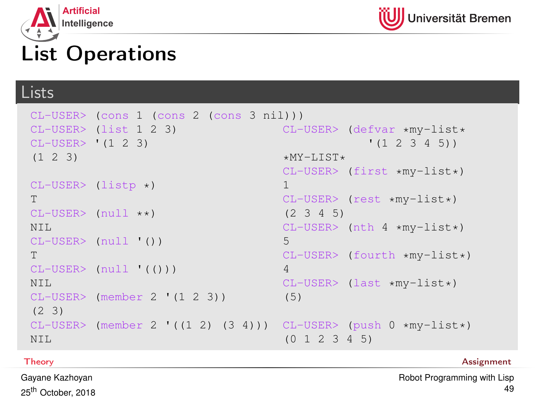



## List Operations

#### Lists

```
CL-USER> (cons 1 (cons 2 (cons 3 nil)))
CL-USER> (list 1 2 3)
CL-USER> '(1 2 3)
(1 2 3)
CI-USER> (listr \star)T
CL-USER (null * x)NTT.
CL-USER> (null '())
T
CL-USER> (null '(()))
N<sub>TL</sub>
CI-USER> (member 2 '(1 2 3))
(2 3)
CL-USER> (member 2 '((1 2) (3 4)))
CL-USER> (push 0 *my-list*)
NTT.
                                      CL-USER> (defvar *my-list*
                                                    '(1 2 3 4 5))
                                       *MY-LIST*CL-USER> (first *my-list*)
                                      1
                                      CL-USER> (rest *my-list*)
                                       (2 3 4 5)
                                      CL-USER> (nth 4 *my-list*)
                                      5
                                      CL-USER> (fourth *my-list*)
                                      4
                                      CL-USER> (last *my-list*)
                                      (5)
                                       (0 1 2 3 4 5)
```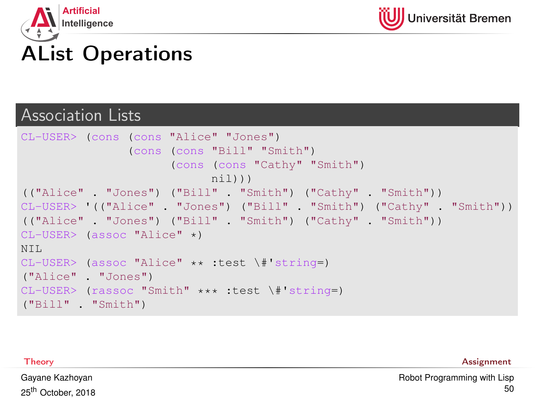



#### Association Lists

```
CL-USER> (cons (cons "Alice" "Jones")
               (cons (cons "Bill" "Smith")
                     (cons (cons "Cathy" "Smith")
                           nil)))
(("Alice" . "Jones") ("Bill" . "Smith") ("Cathy" . "Smith"))
CL-USER> '(("Alice" . "Jones") ("Bill" . "Smith") ("Cathy" . "Smith"))
(("Alice" . "Jones") ("Bill" . "Smith") ("Cathy" . "Smith"))
CL-USER> (assoc "Alice" *)
NTT.
CL-USER> (assoc "Alice" ** :test \#'string=)
("Alice" . "Jones")
CL-USER> (rassoc "Smith" *** :test \#'string=)
("Bill" . "Smith")
```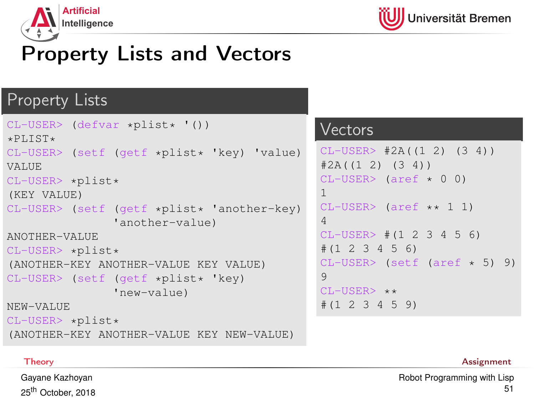

# Property Lists and Vectors

#### Property Lists

```
CL-USER> (defvar *plist* '())
*PLIST*CL-USER> (setf (getf *plist* 'key) 'value)
VALUE
CL-USER> *plist*
(KEY VALUE)
CL-USER> (setf (getf *plist* 'another-key)
                'another-value)
ANOTHER-VALUE
CL-USER> *plist*
(ANOTHER-KEY ANOTHER-VALUE KEY VALUE)
CL-USER> (setf (getf *plist* 'key)
                'new-value)
NEW-VALUE
CL-USER> *plist*
```
#### **Vectors**

```
CL-USER> #2A((1 2) (3 4))
#2A((1 2) (3 4))CL-USER> (aref \star 0 0)
1
CL-USER> (aref ** 1 1)
4
CL-USER \neq (1 2 3 4 5 6)
#(1 2 3 4 5 6)
CL-USER> (setf (aref * 5) 9)
9
CI-USER> **
#(1 2 3 4 5 9)
```
(ANOTHER-KEY ANOTHER-VALUE KEY NEW-VALUE)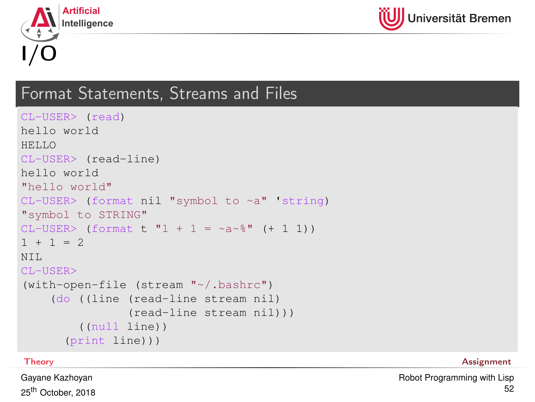



### Format Statements, Streams and Files

```
CL-USER> (read)
hello world
HELLO
CL-USER> (read-line)
hello world
"hello world"
CL-USER> (format nil "symbol to ~a" 'string)
"symbol to STRING"
CL-USER > (format t "1 + 1 = ~a~%" (+ 1 1))
1 + 1 = 2NTT.
CL-USER>
(with-open-file (stream "~/.bashrc")
    (do ((line (read-line stream nil)
                (read-line stream nil)))
        ((null line))
      (print line)))
```
[Theory](#page-1-0) [Assignment](#page-59-0)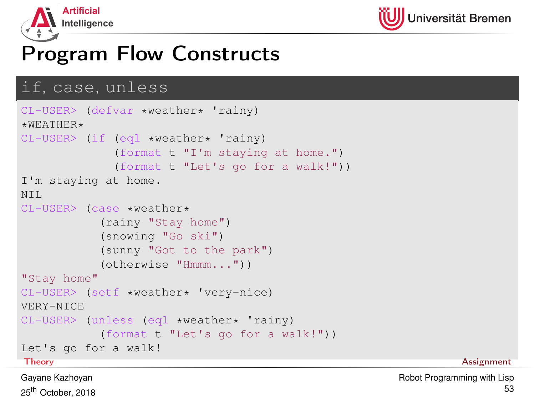

## Program Flow Constructs

#### if, case, unless

```
CL-USER> (defvar *weather* 'rainy)
*WERATHER*CL-USER> (if (eql *weather* 'rainy)
            (format t "I'm staying at home.")
            (format t "Let's go for a walk!"))
I'm staying at home.
NTT.
CL-USER> (case *weather*
          (rainy "Stay home")
          (snowing "Go ski")
          (sunny "Got to the park")
          (otherwise "Hmmm..."))
"Stay home"
CL-USER> (setf *weather* 'very-nice)
VERY-NICE
CL-USER> (unless (eql *weather* 'rainy)
          (format t "Let's go for a walk!"))
Let's go for a walk!
Theory Assignment
```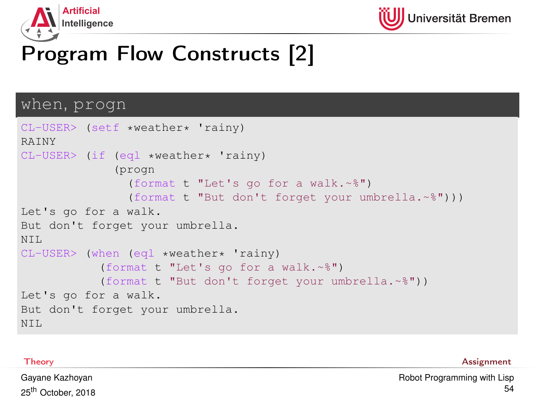



# Program Flow Constructs [2]

#### when, progn

```
CL-USER> (setf *weather* 'rainy)
RAINY
CI-IISER> (if (eql *weather* 'rainy)
              (progn
                (format t "Let's go for a walk.~%")
                (format t "But don't forget your umbrella.~%")))
Let's go for a walk.
But don't forget your umbrella.
NTT.
CL-USER> (when (eql *weather* 'rainy)
           (format t "Let's go for a walk.~%")
           (format t "But don't forget your umbrella.~%"))
Let's go for a walk.
But don't forget your umbrella.
NTT.
```
[Theory](#page-1-0) [Assignment](#page-59-0)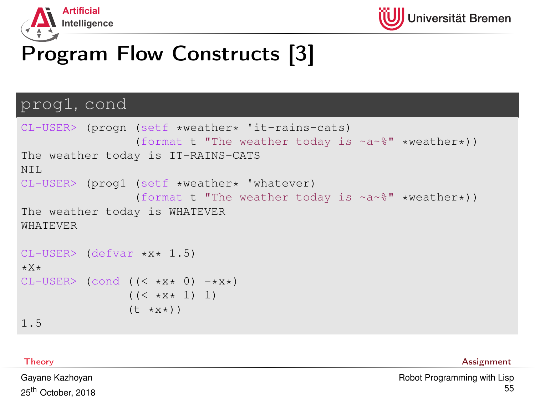



# Program Flow Constructs [3]

#### prog1, cond

```
CL-USER> (progn (setf *weather* 'it-rains-cats)
                    (format t "The weather today is ~a~%" *weather*))
The weather today is IT-RAINS-CATS
NTT.
CL-USER> (prog1 (setf *weather* 'whatever)
                    (format t "The weather today is ~a~%" *weather*))
The weather today is WHATEVER
WHATEVER
CL-USER> (defvar *x* 1.5)
*X*
CL-USER (cond ((\langle x,y,x,0\rangle -\langle x,x+1\rangle)
                  ((\langle \times \times \times \times 1) 1)
                  (t \star x \star))
```
1.5

[Theory](#page-1-0) [Assignment](#page-59-0)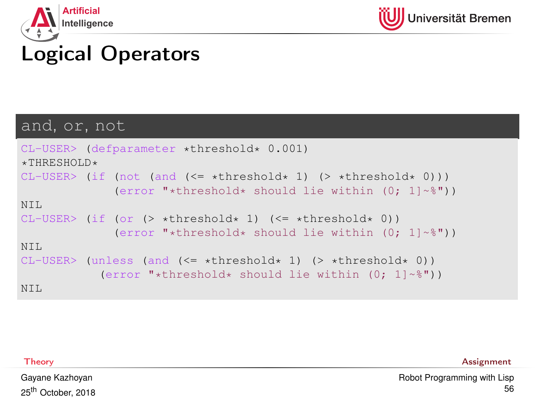



# Logical Operators

#### and, or, not

```
CL-USER> (defparameter *threshold* 0.001)
*THRESHOLD*CL-USER> (if (not (and (\leq = *threshold* 1) (> *threshold* 0)))
              (error "*threshold* should lie within (0; 1]~*"))
NTT.
CI-USER> (if (or (> *threshold* 1) (<= *threshold* 0))
              (error "*threshold* should lie within (0; 1]~*"))
NTT.
CI-IISER> (unless (and \leq *threshold* 1) (> *threshold* 0))
           (error "*threshold* should lie within (0; 1]~*"))
NTT.
```
[Theory](#page-1-0) [Assignment](#page-59-0)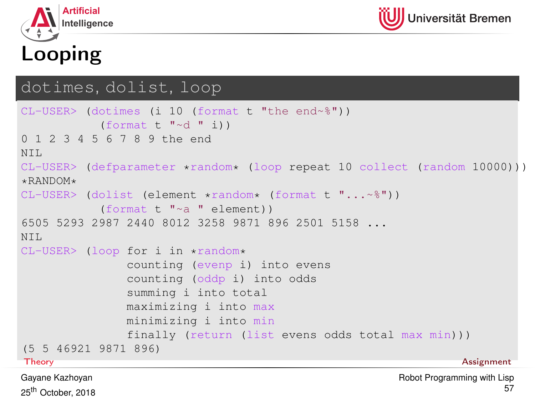



# Looping

#### dotimes, dolist, loop

```
CL-USER> (dotimes (i 10 (format t "the end~%"))
          (format t "\simd " i))
0 1 2 3 4 5 6 7 8 9 the end
NTT.
CL-USER> (defparameter *random* (loop repeat 10 collect (random 10000)))
*RANDOM*CL-USER> (dolist (element *random* (format t "...~%"))
          (format t "~a " element))
6505 5293 2987 2440 8012 3258 9871 896 2501 5158 ...
NTT.
CL-USER> (loop for i in *random*
              counting (evenp i) into evens
              counting (oddp i) into odds
              summing i into total
              maximizing i into max
              minimizing i into min
              finally (return (list evens odds total max min)))
(5 5 46921 9871 896)
Theory Assignment
```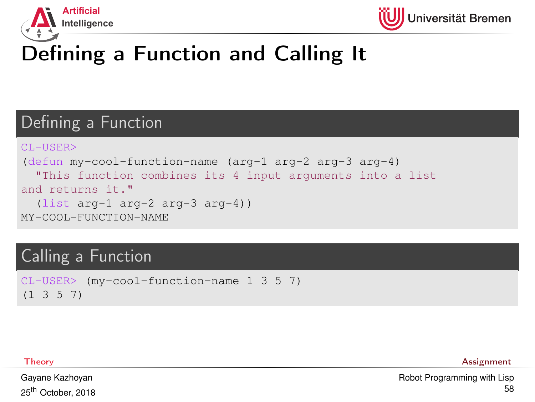



# Defining a Function and Calling It

## Defining a Function

```
CL-USER>
(defun my-cool-function-name (arg-1 arg-2 arg-3 arg-4)
  "This function combines its 4 input arguments into a list
and returns it."
  (list arg-1 arg-2 arg-3 arg-4))
MY-COOL-FUNCTION-NAME
```
### Calling a Function

```
CL-USER> (my-cool-function-name 1 3 5 7)
(1 3 5 7)
```
[Theory](#page-1-0) [Assignment](#page-59-0)

Gayane Kazhoyan 25<sup>th</sup> October, 2018 [Robot Programming with Lisp](#page-0-0) 58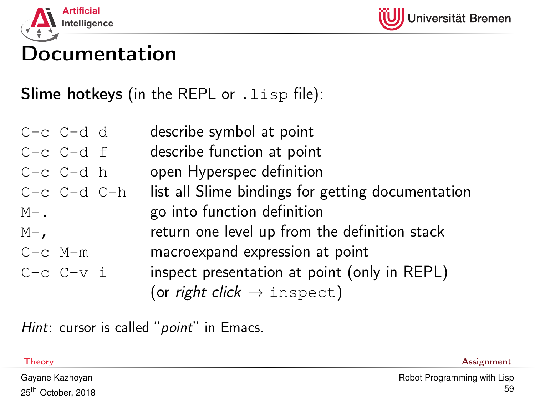



## Documentation

**Slime hotkeys** (in the REPL or . lisp file):

 $C-c \quad C-d \quad d$  describe symbol at point  $C-c$   $C-d$  f describe function at point  $C-c$   $C-d$  h open Hyperspec definition  $C-c$   $C-d$   $C-h$  list all Slime bindings for getting documentation  $M-$ . go into function definition  $M -$ , return one level up from the definition stack C-c M-m macroexpand expression at point  $C-c$   $C-v$  i inspect presentation at point (only in REPL) (or *right click*  $\rightarrow$  inspect)

Hint: cursor is called "*point*" in Emacs.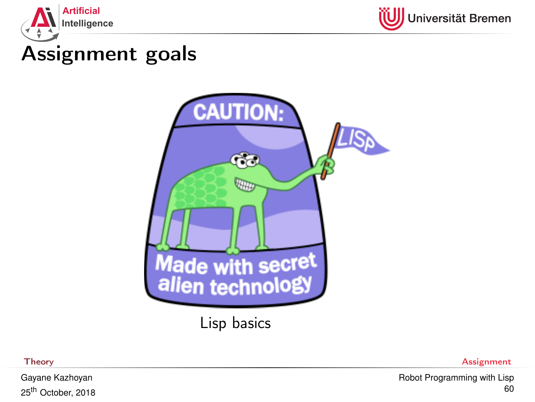<span id="page-59-0"></span>



## Assignment goals



Lisp basics

Gayane Kazhoyan 25th October, 2018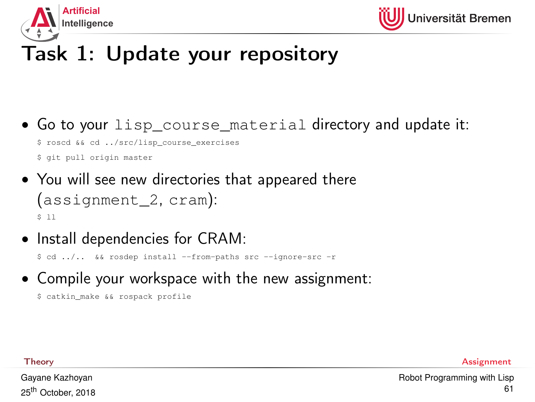



# Task 1: Update your repository

- Go to your lisp course material directory and update it: \$ roscd && cd ../src/lisp\_course\_exercises \$ git pull origin master
- You will see new directories that appeared there (assignment\_2, cram): \$ ll
- Install dependencies for CRAM:

\$ cd ../.. && rosdep install --from-paths src --ignore-src -r

• Compile your workspace with the new assignment:

```
$ catkin_make && rospack profile
```
[Theory](#page-1-0) [Assignment](#page-59-0)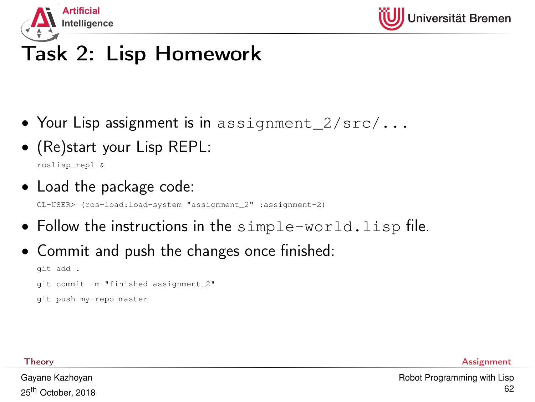

# Task 2: Lisp Homework

- Your Lisp assignment is in assignment  $2/\text{src}/...$
- (Re)start your Lisp REPL:

roslisp\_repl &

• Load the package code:

CL-USER> (ros-load:load-system "assignment\_2" :assignment-2)

- Follow the instructions in the simple-world.lisp file.
- Commit and push the changes once finished:

```
git add .
git commit -m "finished assignment_2"
git push my-repo master
```
Gayane Kazhoyan 25<sup>th</sup> October, 2018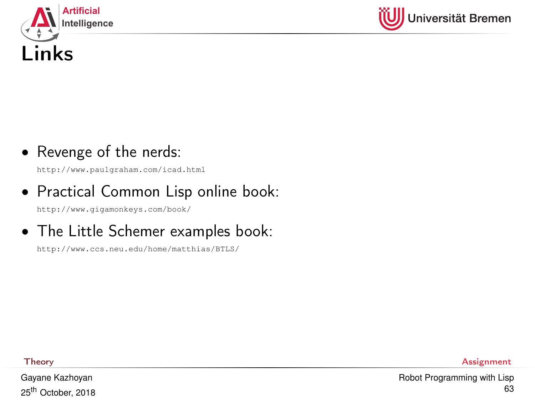



#### • Revenge of the nerds:

<http://www.paulgraham.com/icad.html>

## • Practical Common Lisp online book:

<http://www.gigamonkeys.com/book/>

### • The Little Schemer examples book:

<http://www.ccs.neu.edu/home/matthias/BTLS/>

Gayane Kazhoyan 25<sup>th</sup> October, 2018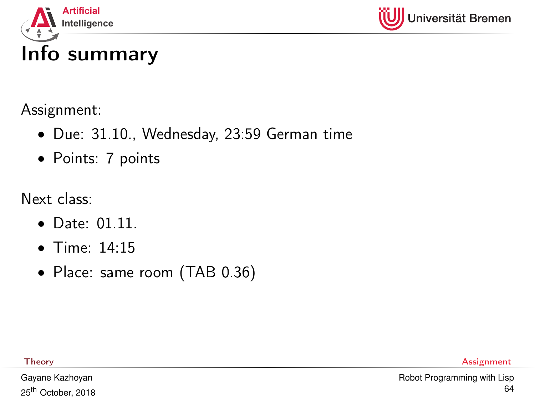



Assignment:

- Due: 31.10., Wednesday, 23:59 German time
- Points: 7 points

Next class:

- Date: 01.11.
- Time: 14:15
- Place: same room (TAB 0.36)

[Theory](#page-1-0) [Assignment](#page-59-0)

Gayane Kazhoyan 25<sup>th</sup> October, 2018 [Robot Programming with Lisp](#page-0-0) 64